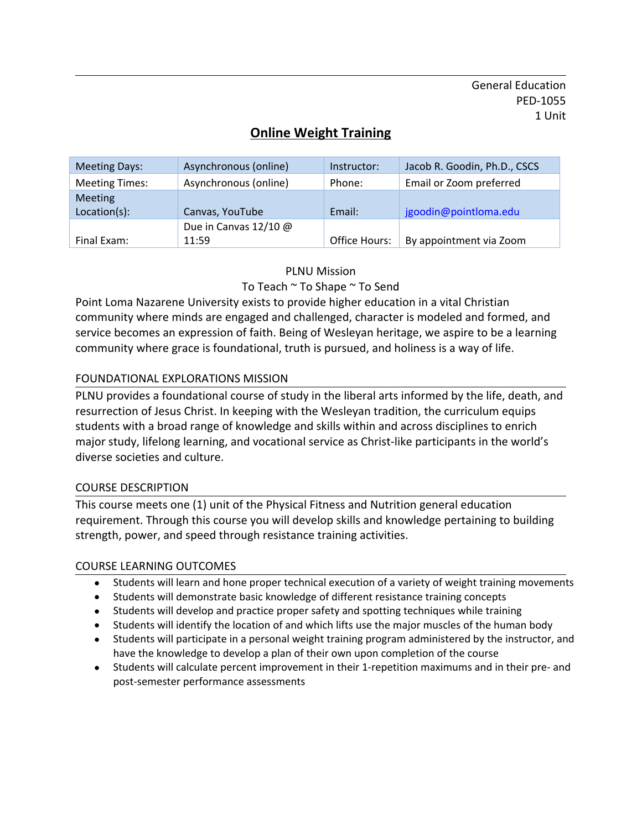General Education PED-1055 1 Unit

# **Online Weight Training**

| <b>Meeting Days:</b>  | Asynchronous (online) | Instructor:   | Jacob R. Goodin, Ph.D., CSCS |
|-----------------------|-----------------------|---------------|------------------------------|
| <b>Meeting Times:</b> | Asynchronous (online) | Phone:        | Email or Zoom preferred      |
| <b>Meeting</b>        |                       |               |                              |
| Location(s):          | Canvas, YouTube       | Email:        | jgoodin@pointloma.edu        |
|                       | Due in Canvas 12/10 @ |               |                              |
| Final Exam:           | 11:59                 | Office Hours: | By appointment via Zoom      |

PLNU Mission

To Teach ~ To Shape ~ To Send

Point Loma Nazarene University exists to provide higher education in a vital Christian community where minds are engaged and challenged, character is modeled and formed, and service becomes an expression of faith. Being of Wesleyan heritage, we aspire to be a learning community where grace is foundational, truth is pursued, and holiness is a way of life.

#### FOUNDATIONAL EXPLORATIONS MISSION

PLNU provides a foundational course of study in the liberal arts informed by the life, death, and resurrection of Jesus Christ. In keeping with the Wesleyan tradition, the curriculum equips students with a broad range of knowledge and skills within and across disciplines to enrich major study, lifelong learning, and vocational service as Christ-like participants in the world's diverse societies and culture.

#### COURSE DESCRIPTION

This course meets one (1) unit of the Physical Fitness and Nutrition general education requirement. Through this course you will develop skills and knowledge pertaining to building strength, power, and speed through resistance training activities.

#### COURSE LEARNING OUTCOMES

- Students will learn and hone proper technical execution of a variety of weight training movements
- Students will demonstrate basic knowledge of different resistance training concepts
- Students will develop and practice proper safety and spotting techniques while training
- Students will identify the location of and which lifts use the major muscles of the human body
- Students will participate in a personal weight training program administered by the instructor, and have the knowledge to develop a plan of their own upon completion of the course
- Students will calculate percent improvement in their 1-repetition maximums and in their pre- and post-semester performance assessments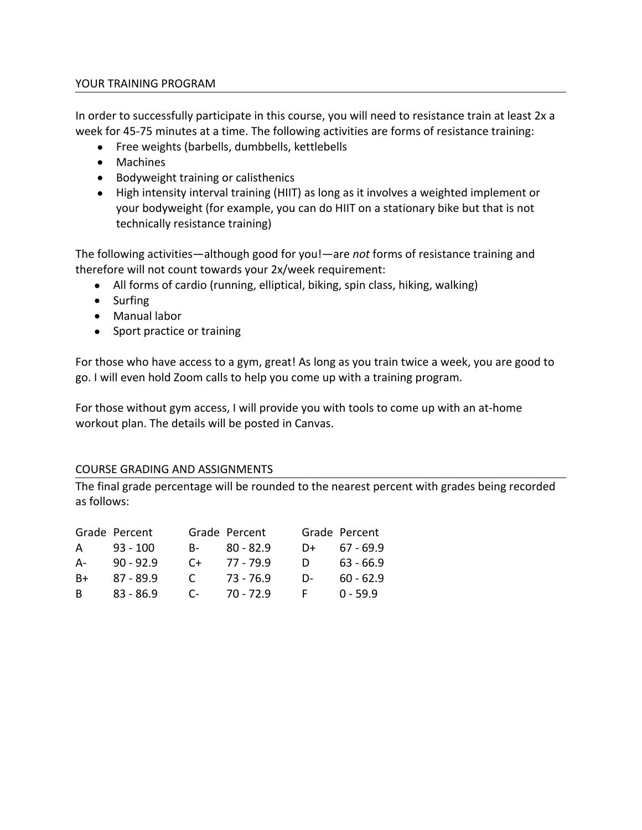#### YOUR TRAINING PROGRAM

In order to successfully participate in this course, you will need to resistance train at least 2x a week for 45-75 minutes at a time. The following activities are forms of resistance training:

- Free weights (barbells, dumbbells, kettlebells
- Machines
- Bodyweight training or calisthenics
- High intensity interval training (HIIT) as long as it involves a weighted implement or your bodyweight (for example, you can do HIIT on a stationary bike but that is not technically resistance training)

The following activities—although good for you!—are *not* forms of resistance training and therefore will not count towards your 2x/week requirement:

- All forms of cardio (running, elliptical, biking, spin class, hiking, walking)
- Surfing
- Manual labor
- Sport practice or training

For those who have access to a gym, great! As long as you train twice a week, you are good to go. I will even hold Zoom calls to help you come up with a training program.

For those without gym access, I will provide you with tools to come up with an at-home workout plan. The details will be posted in Canvas.

#### COURSE GRADING AND ASSIGNMENTS

The final grade percentage will be rounded to the nearest percent with grades being recorded as follows:

|  | Grade Percent Grade Percent Grade Percent |  |
|--|-------------------------------------------|--|
|  | A 93 - 100 B- 80 - 82.9 D+ 67 - 69.9      |  |
|  | A- 90-92.9 C+ 77-79.9 D 63-66.9           |  |
|  | B+ 87-89.9 C 73-76.9 D- 60-62.9           |  |
|  | B 83-86.9 C 70-72.9 F 0-59.9              |  |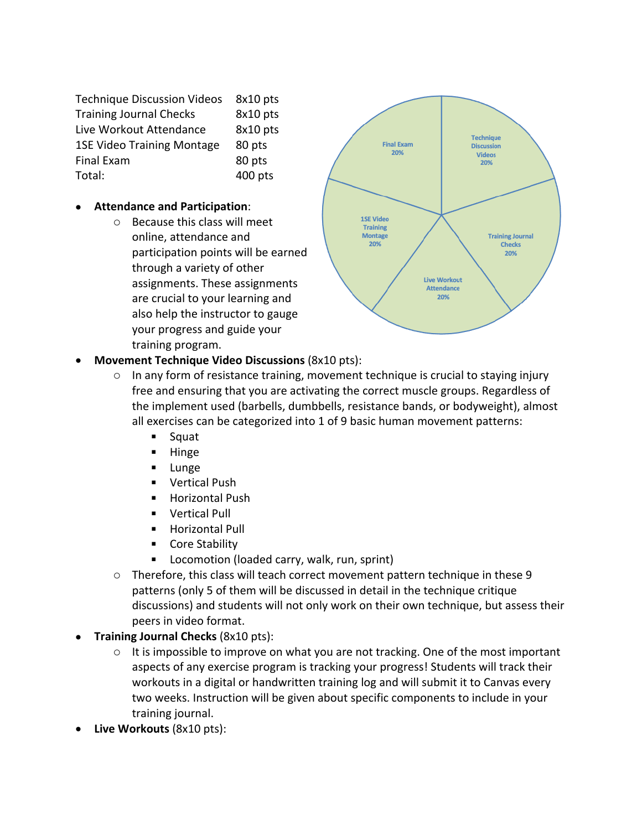Technique Discussion Videos 8x10 pts Training Journal Checks 8x10 pts Live Workout Attendance 8x10 pts 1SE Video Training Montage 80 pts Final Exam 80 pts Total: 400 pts

#### **Attendance and Participation**:

o Because this class will meet online, attendance and participation points will be earned through a variety of other assignments. These assignments are crucial to your learning and also help the instructor to gauge your progress and guide your training program.



- **Movement Technique Video Discussions** (8x10 pts):
	- In any form of resistance training, movement technique is crucial to staying injury free and ensuring that you are activating the correct muscle groups. Regardless of the implement used (barbells, dumbbells, resistance bands, or bodyweight), almost all exercises can be categorized into 1 of 9 basic human movement patterns:
		- Squat
		- **Hinge**
		- **Lunge**
		- **vertical Push**
		- Horizontal Push
		- **vertical Pull**
		- **Horizontal Pull**
		- Core Stability
		- **Locomotion (loaded carry, walk, run, sprint)**
	- o Therefore, this class will teach correct movement pattern technique in these 9 patterns (only 5 of them will be discussed in detail in the technique critique discussions) and students will not only work on their own technique, but assess their peers in video format.
- **Training Journal Checks** (8x10 pts):
	- o It is impossible to improve on what you are not tracking. One of the most important aspects of any exercise program is tracking your progress! Students will track their workouts in a digital or handwritten training log and will submit it to Canvas every two weeks. Instruction will be given about specific components to include in your training journal.
- **Live Workouts** (8x10 pts):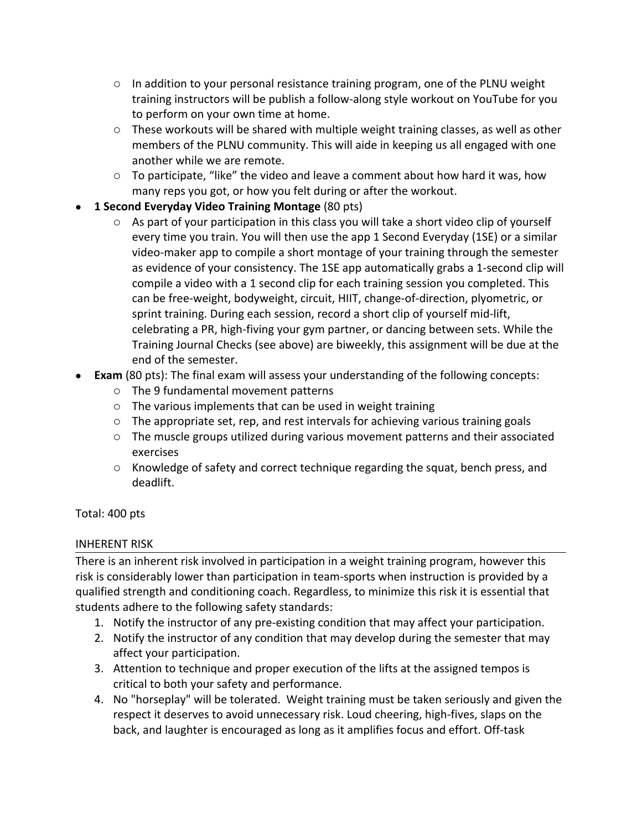- $\circ$  In addition to your personal resistance training program, one of the PLNU weight training instructors will be publish a follow-along style workout on YouTube for you to perform on your own time at home.
- $\circ$  These workouts will be shared with multiple weight training classes, as well as other members of the PLNU community. This will aide in keeping us all engaged with one another while we are remote.
- $\circ$  To participate, "like" the video and leave a comment about how hard it was, how many reps you got, or how you felt during or after the workout.
- **1 Second Everyday Video Training Montage** (80 pts)
	- o As part of your participation in this class you will take a short video clip of yourself every time you train. You will then use the app 1 Second Everyday (1SE) or a similar video-maker app to compile a short montage of your training through the semester as evidence of your consistency. The 1SE app automatically grabs a 1-second clip will compile a video with a 1 second clip for each training session you completed. This can be free-weight, bodyweight, circuit, HIIT, change-of-direction, plyometric, or sprint training. During each session, record a short clip of yourself mid-lift, celebrating a PR, high-fiving your gym partner, or dancing between sets. While the Training Journal Checks (see above) are biweekly, this assignment will be due at the end of the semester.
- **Exam** (80 pts): The final exam will assess your understanding of the following concepts:
	- o The 9 fundamental movement patterns
	- o The various implements that can be used in weight training
	- o The appropriate set, rep, and rest intervals for achieving various training goals
	- $\circ$  The muscle groups utilized during various movement patterns and their associated exercises
	- $\circ$  Knowledge of safety and correct technique regarding the squat, bench press, and deadlift.

Total: 400 pts

# INHERENT RISK

There is an inherent risk involved in participation in a weight training program, however this risk is considerably lower than participation in team-sports when instruction is provided by a qualified strength and conditioning coach. Regardless, to minimize this risk it is essential that students adhere to the following safety standards:

- 1. Notify the instructor of any pre-existing condition that may affect your participation.
- 2. Notify the instructor of any condition that may develop during the semester that may affect your participation.
- 3. Attention to technique and proper execution of the lifts at the assigned tempos is critical to both your safety and performance.
- 4. No "horseplay" will be tolerated. Weight training must be taken seriously and given the respect it deserves to avoid unnecessary risk. Loud cheering, high-fives, slaps on the back, and laughter is encouraged as long as it amplifies focus and effort. Off-task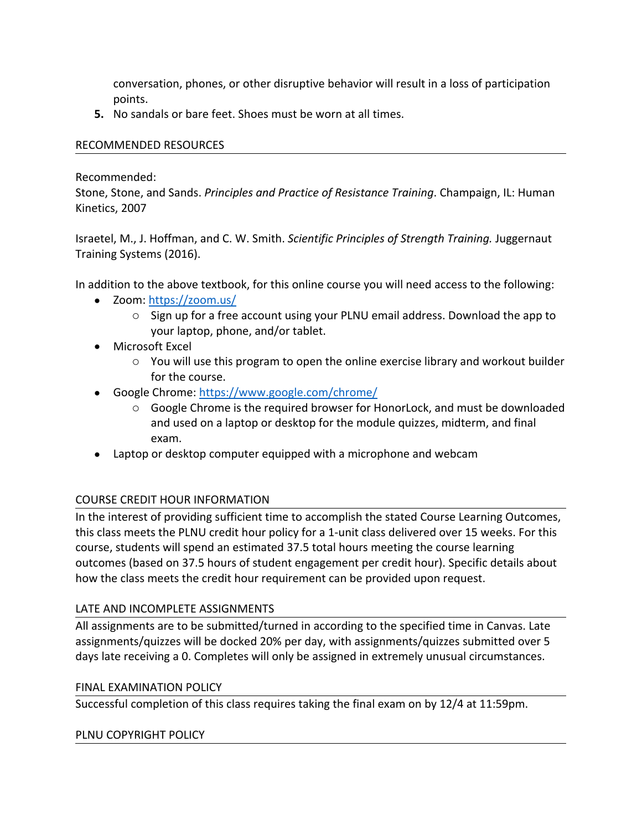conversation, phones, or other disruptive behavior will result in a loss of participation points.

**5.** No sandals or bare feet. Shoes must be worn at all times.

#### RECOMMENDED RESOURCES

Recommended:

Stone, Stone, and Sands. *Principles and Practice of Resistance Training*. Champaign, IL: Human Kinetics, 2007

Israetel, M., J. Hoffman, and C. W. Smith. *Scientific Principles of Strength Training.* Juggernaut Training Systems (2016).

In addition to the above textbook, for this online course you will need access to the following:

- Zoom: https://zoom.us/
	- o Sign up for a free account using your PLNU email address. Download the app to your laptop, phone, and/or tablet.
- Microsoft Excel
	- $\circ$  You will use this program to open the online exercise library and workout builder for the course.
- Google Chrome: https://www.google.com/chrome/
	- o Google Chrome is the required browser for HonorLock, and must be downloaded and used on a laptop or desktop for the module quizzes, midterm, and final exam.
- Laptop or desktop computer equipped with a microphone and webcam

# COURSE CREDIT HOUR INFORMATION

In the interest of providing sufficient time to accomplish the stated Course Learning Outcomes, this class meets the PLNU credit hour policy for a 1-unit class delivered over 15 weeks. For this course, students will spend an estimated 37.5 total hours meeting the course learning outcomes (based on 37.5 hours of student engagement per credit hour). Specific details about how the class meets the credit hour requirement can be provided upon request.

# LATE AND INCOMPLETE ASSIGNMENTS

All assignments are to be submitted/turned in according to the specified time in Canvas. Late assignments/quizzes will be docked 20% per day, with assignments/quizzes submitted over 5 days late receiving a 0. Completes will only be assigned in extremely unusual circumstances.

# FINAL EXAMINATION POLICY

Successful completion of this class requires taking the final exam on by 12/4 at 11:59pm.

#### PLNU COPYRIGHT POLICY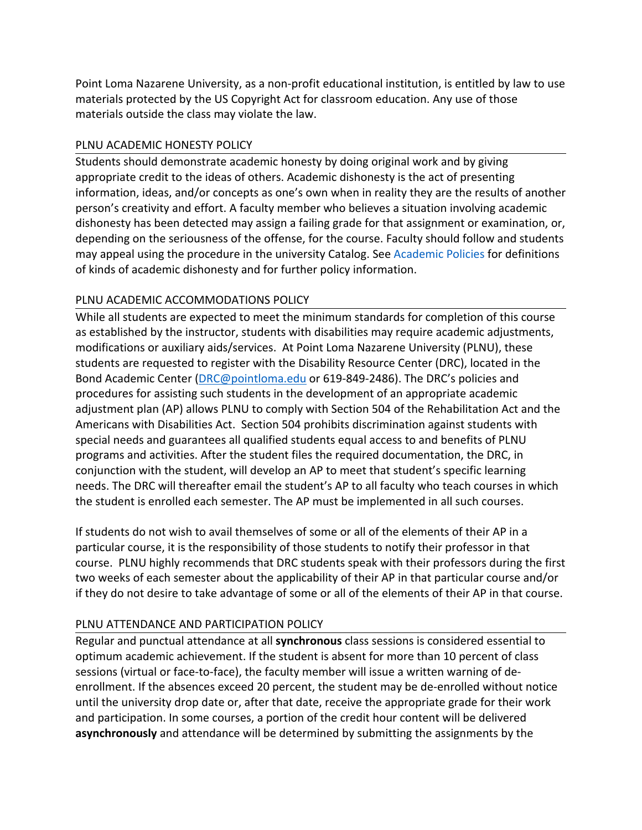Point Loma Nazarene University, as a non-profit educational institution, is entitled by law to use materials protected by the US Copyright Act for classroom education. Any use of those materials outside the class may violate the law.

# PLNU ACADEMIC HONESTY POLICY

Students should demonstrate academic honesty by doing original work and by giving appropriate credit to the ideas of others. Academic dishonesty is the act of presenting information, ideas, and/or concepts as one's own when in reality they are the results of another person's creativity and effort. A faculty member who believes a situation involving academic dishonesty has been detected may assign a failing grade for that assignment or examination, or, depending on the seriousness of the offense, for the course. Faculty should follow and students may appeal using the procedure in the university Catalog. See Academic Policies for definitions of kinds of academic dishonesty and for further policy information.

# PLNU ACADEMIC ACCOMMODATIONS POLICY

While all students are expected to meet the minimum standards for completion of this course as established by the instructor, students with disabilities may require academic adjustments, modifications or auxiliary aids/services. At Point Loma Nazarene University (PLNU), these students are requested to register with the Disability Resource Center (DRC), located in the Bond Academic Center (DRC@pointloma.edu or 619-849-2486). The DRC's policies and procedures for assisting such students in the development of an appropriate academic adjustment plan (AP) allows PLNU to comply with Section 504 of the Rehabilitation Act and the Americans with Disabilities Act. Section 504 prohibits discrimination against students with special needs and guarantees all qualified students equal access to and benefits of PLNU programs and activities. After the student files the required documentation, the DRC, in conjunction with the student, will develop an AP to meet that student's specific learning needs. The DRC will thereafter email the student's AP to all faculty who teach courses in which the student is enrolled each semester. The AP must be implemented in all such courses.

If students do not wish to avail themselves of some or all of the elements of their AP in a particular course, it is the responsibility of those students to notify their professor in that course. PLNU highly recommends that DRC students speak with their professors during the first two weeks of each semester about the applicability of their AP in that particular course and/or if they do not desire to take advantage of some or all of the elements of their AP in that course.

# PLNU ATTENDANCE AND PARTICIPATION POLICY

Regular and punctual attendance at all **synchronous** class sessions is considered essential to optimum academic achievement. If the student is absent for more than 10 percent of class sessions (virtual or face-to-face), the faculty member will issue a written warning of deenrollment. If the absences exceed 20 percent, the student may be de-enrolled without notice until the university drop date or, after that date, receive the appropriate grade for their work and participation. In some courses, a portion of the credit hour content will be delivered **asynchronously** and attendance will be determined by submitting the assignments by the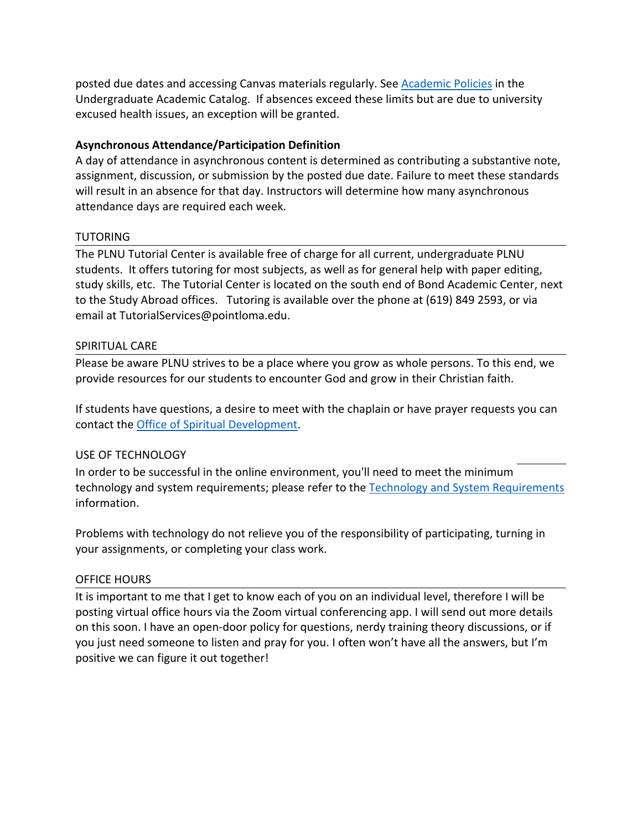posted due dates and accessing Canvas materials regularly. See Academic Policies in the Undergraduate Academic Catalog. If absences exceed these limits but are due to university excused health issues, an exception will be granted.

#### **Asynchronous Attendance/Participation Definition**

A day of attendance in asynchronous content is determined as contributing a substantive note, assignment, discussion, or submission by the posted due date. Failure to meet these standards will result in an absence for that day. Instructors will determine how many asynchronous attendance days are required each week.

#### TUTORING

The PLNU Tutorial Center is available free of charge for all current, undergraduate PLNU students. It offers tutoring for most subjects, as well as for general help with paper editing, study skills, etc. The Tutorial Center is located on the south end of Bond Academic Center, next to the Study Abroad offices. Tutoring is available over the phone at (619) 849 2593, or via email at TutorialServices@pointloma.edu.

#### SPIRITUAL CARE

Please be aware PLNU strives to be a place where you grow as whole persons. To this end, we provide resources for our students to encounter God and grow in their Christian faith.

If students have questions, a desire to meet with the chaplain or have prayer requests you can contact the Office of Spiritual Development.

# USE OF TECHNOLOGY

In order to be successful in the online environment, you'll need to meet the minimum technology and system requirements; please refer to the Technology and System Requirements information.

Problems with technology do not relieve you of the responsibility of participating, turning in your assignments, or completing your class work.

# OFFICE HOURS

It is important to me that I get to know each of you on an individual level, therefore I will be posting virtual office hours via the Zoom virtual conferencing app. I will send out more details on this soon. I have an open-door policy for questions, nerdy training theory discussions, or if you just need someone to listen and pray for you. I often won't have all the answers, but I'm positive we can figure it out together!